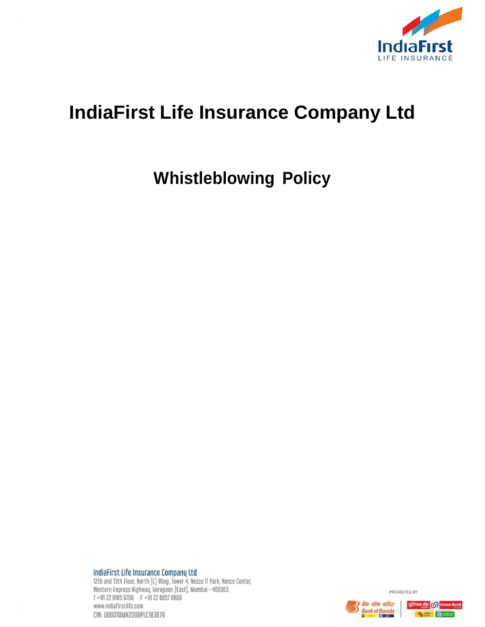

# **IndiaFirst Life Insurance Company Ltd**

# **Whistleblowing Policy**

IndiaFirst Life Insurance Company Ltd

12th and 13th Floor, North [C] Wing, Tower 4, Nesco IT Park, Nesco Center,<br>Western Express Highway, Goregaon (East), Mumbai - 400063.<br>T +91 22 6165 8700 F +91 22 6857 0600 www.indiafirstlife.com CIN: U66010MH2008PLC183679

PROMOTED BY

**Bank of Baroda** 

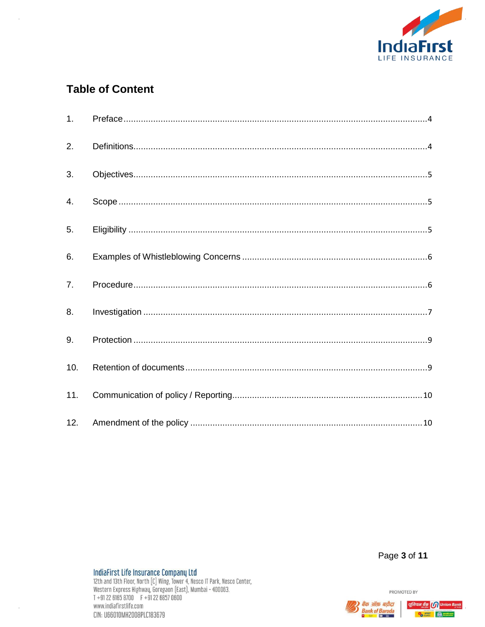

# **Table of Content**

| 1 <sub>1</sub> |  |
|----------------|--|
| 2.             |  |
| 3.             |  |
| 4.             |  |
| 5.             |  |
| 6.             |  |
| 7 <sub>1</sub> |  |
| 8.             |  |
|                |  |
| 9.             |  |
| 10.            |  |
| 11.            |  |

Page 3 of 11

PROMOTED BY

 $\bar{z}$ 



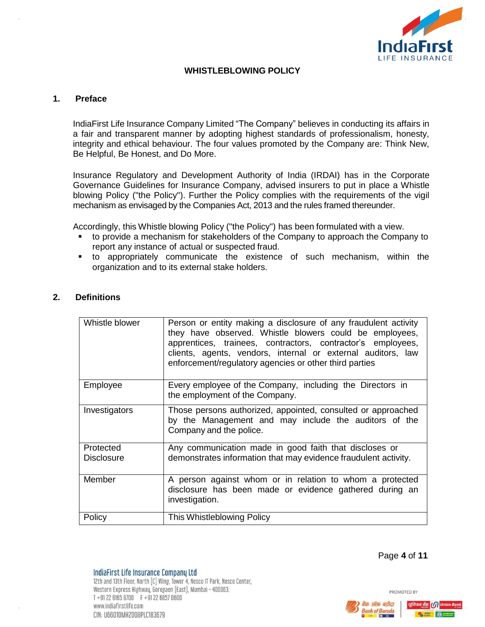

### **WHISTLEBLOWING POLICY**

#### <span id="page-2-0"></span>**1. Preface**

IndiaFirst Life Insurance Company Limited "The Company" believes in conducting its affairs in a fair and transparent manner by adopting highest standards of professionalism, honesty, integrity and ethical behaviour. The four values promoted by the Company are: Think New, Be Helpful, Be Honest, and Do More.

Insurance Regulatory and Development Authority of India (IRDAI) has in the Corporate Governance Guidelines for Insurance Company, advised insurers to put in place a Whistle blowing Policy ("the Policy"). Further the Policy complies with the requirements of the vigil mechanism as envisaged by the Companies Act, 2013 and the rules framed thereunder.

Accordingly, this Whistle blowing Policy ("the Policy") has been formulated with a view.

- to provide a mechanism for stakeholders of the Company to approach the Company to report any instance of actual or suspected fraud.
- to appropriately communicate the existence of such mechanism, within the organization and to its external stake holders.

#### <span id="page-2-1"></span>**2. Definitions**

| Whistle blower                 | Person or entity making a disclosure of any fraudulent activity<br>they have observed. Whistle blowers could be employees,<br>apprentices, trainees, contractors, contractor's employees,<br>clients, agents, vendors, internal or external auditors, law<br>enforcement/regulatory agencies or other third parties |
|--------------------------------|---------------------------------------------------------------------------------------------------------------------------------------------------------------------------------------------------------------------------------------------------------------------------------------------------------------------|
| Employee                       | Every employee of the Company, including the Directors in<br>the employment of the Company.                                                                                                                                                                                                                         |
| Investigators                  | Those persons authorized, appointed, consulted or approached<br>by the Management and may include the auditors of the<br>Company and the police.                                                                                                                                                                    |
| Protected<br><b>Disclosure</b> | Any communication made in good faith that discloses or<br>demonstrates information that may evidence fraudulent activity.                                                                                                                                                                                           |
| Member                         | A person against whom or in relation to whom a protected<br>disclosure has been made or evidence gathered during an<br>investigation.                                                                                                                                                                               |
| Policy                         | This Whistleblowing Policy                                                                                                                                                                                                                                                                                          |

Page **4** of **11**

PROMOTED BY



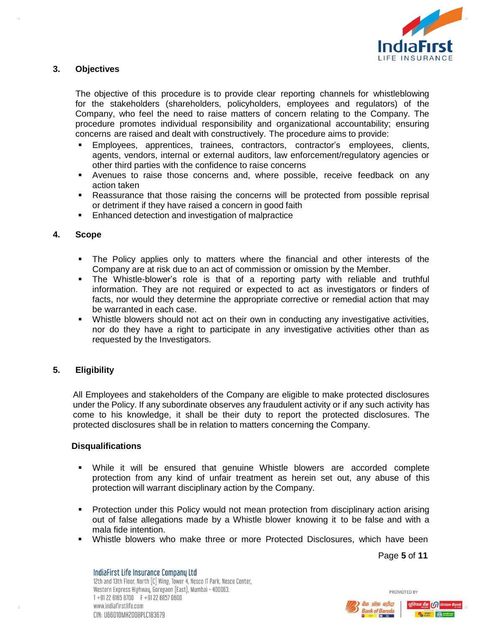

### <span id="page-3-0"></span>**3. Objectives**

The objective of this procedure is to provide clear reporting channels for whistleblowing for the stakeholders (shareholders, policyholders, employees and regulators) of the Company, who feel the need to raise matters of concern relating to the Company. The procedure promotes individual responsibility and organizational accountability; ensuring concerns are raised and dealt with constructively. The procedure aims to provide:

- Employees, apprentices, trainees, contractors, contractor's employees, clients, agents, vendors, internal or external auditors, law enforcement/regulatory agencies or other third parties with the confidence to raise concerns
- Avenues to raise those concerns and, where possible, receive feedback on any action taken
- Reassurance that those raising the concerns will be protected from possible reprisal or detriment if they have raised a concern in good faith
- Enhanced detection and investigation of malpractice

#### <span id="page-3-1"></span>**4. Scope**

- The Policy applies only to matters where the financial and other interests of the Company are at risk due to an act of commission or omission by the Member.
- The Whistle-blower's role is that of a reporting party with reliable and truthful information. They are not required or expected to act as investigators or finders of facts, nor would they determine the appropriate corrective or remedial action that may be warranted in each case.
- Whistle blowers should not act on their own in conducting any investigative activities, nor do they have a right to participate in any investigative activities other than as requested by the Investigators.

# <span id="page-3-2"></span>**5. Eligibility**

All Employees and stakeholders of the Company are eligible to make protected disclosures under the Policy. If any subordinate observes any fraudulent activity or if any such activity has come to his knowledge, it shall be their duty to report the protected disclosures. The protected disclosures shall be in relation to matters concerning the Company.

#### **Disqualifications**

- While it will be ensured that genuine Whistle blowers are accorded complete protection from any kind of unfair treatment as herein set out, any abuse of this protection will warrant disciplinary action by the Company.
- Protection under this Policy would not mean protection from disciplinary action arising out of false allegations made by a Whistle blower knowing it to be false and with a mala fide intention.
- Whistle blowers who make three or more Protected Disclosures, which have been

Page **5** of **11**

IndiaFirst Life Insurance Company Ltd 12th and 13th Floor, North [C] Wing, Tower 4, Nesco IT Park, Nesco Center, Western Express Highway, Goregaon (East), Mumbai - 400063. T +91 22 6165 8700 F +91 22 6857 0600 www.indiafirstlife.com CIN: U66010MH2008PLC183679



क ऑफ़ बड़ौदा

**Bank of Baroda** 

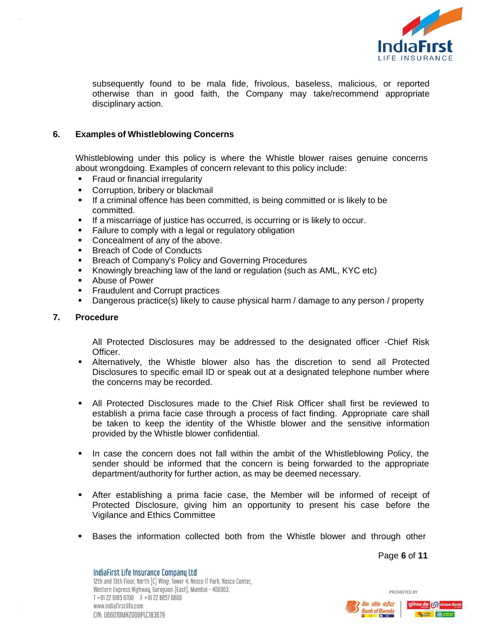

subsequently found to be mala fide, frivolous, baseless, malicious, or reported otherwise than in good faith, the Company may take/recommend appropriate disciplinary action.

# <span id="page-4-0"></span>**6. Examples of Whistleblowing Concerns**

Whistleblowing under this policy is where the Whistle blower raises genuine concerns about wrongdoing. Examples of concern relevant to this policy include:

- Fraud or financial irregularity
- **Corruption, bribery or blackmail**
- If a criminal offence has been committed, is being committed or is likely to be committed.
- **If a miscarriage of justice has occurred, is occurring or is likely to occur.**
- **Failure to comply with a legal or regulatory obligation**
- Concealment of any of the above.
- Breach of Code of Conducts
- **Breach of Company's Policy and Governing Procedures**
- Knowingly breaching law of the land or regulation (such as AML, KYC etc)
- Abuse of Power
- **Fraudulent and Corrupt practices**
- Dangerous practice(s) likely to cause physical harm / damage to any person / property

#### <span id="page-4-1"></span>**7. Procedure**

All Protected Disclosures may be addressed to the designated officer -Chief Risk Officer.

- Alternatively, the Whistle blower also has the discretion to send all Protected Disclosures to specific email ID or speak out at a designated telephone number where the concerns may be recorded.
- All Protected Disclosures made to the Chief Risk Officer shall first be reviewed to establish a prima facie case through a process of fact finding. Appropriate care shall be taken to keep the identity of the Whistle blower and the sensitive information provided by the Whistle blower confidential.
- In case the concern does not fall within the ambit of the Whistleblowing Policy, the sender should be informed that the concern is being forwarded to the appropriate department/authority for further action, as may be deemed necessary.
- After establishing a prima facie case, the Member will be informed of receipt of Protected Disclosure, giving him an opportunity to present his case before the Vigilance and Ethics Committee
- Bases the information collected both from the Whistle blower and through other

Page **6** of **11**

PROMOTED BY

IndiaFirst Life Insurance Company Ltd 12th and 13th Floor, North [C] Wing, Tower 4, Nesco IT Park, Nesco Center, Western Express Highway, Goregaon (East), Mumbai - 400063. T +91 22 6165 8700 F +91 22 6857 0600 www.indiafirstlife.com CIN: U66010MH2008PLC183679



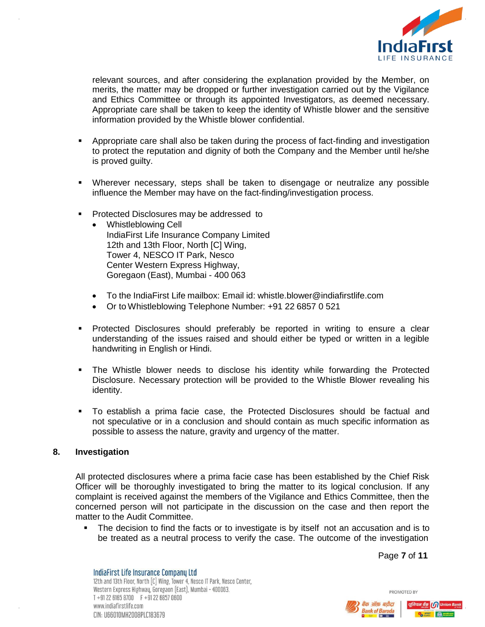

relevant sources, and after considering the explanation provided by the Member, on merits, the matter may be dropped or further investigation carried out by the Vigilance and Ethics Committee or through its appointed Investigators, as deemed necessary. Appropriate care shall be taken to keep the identity of Whistle blower and the sensitive information provided by the Whistle blower confidential.

- Appropriate care shall also be taken during the process of fact-finding and investigation to protect the reputation and dignity of both the Company and the Member until he/she is proved guilty.
- Wherever necessary, steps shall be taken to disengage or neutralize any possible influence the Member may have on the fact-finding/investigation process.
- **Protected Disclosures may be addressed to** 
	- Whistleblowing Cell IndiaFirst Life Insurance Company Limited 12th and 13th Floor, North [C] Wing, Tower 4, NESCO IT Park, Nesco Center Western Express Highway, Goregaon (East), Mumbai - 400 063
	- To the IndiaFirst Life mailbox: Email id: whistle.blower@indiafirstlife.com
	- Or to Whistleblowing Telephone Number: +91 22 6857 0 521
- Protected Disclosures should preferably be reported in writing to ensure a clear understanding of the issues raised and should either be typed or written in a legible handwriting in English or Hindi.
- The Whistle blower needs to disclose his identity while forwarding the Protected Disclosure. Necessary protection will be provided to the Whistle Blower revealing his identity.
- To establish a prima facie case, the Protected Disclosures should be factual and not speculative or in a conclusion and should contain as much specific information as possible to assess the nature, gravity and urgency of the matter.

#### <span id="page-5-0"></span>**8. Investigation**

All protected disclosures where a prima facie case has been established by the Chief Risk Officer will be thoroughly investigated to bring the matter to its logical conclusion. If any complaint is received against the members of the Vigilance and Ethics Committee, then the concerned person will not participate in the discussion on the case and then report the matter to the Audit Committee.

 The decision to find the facts or to investigate is by itself not an accusation and is to be treated as a neutral process to verify the case. The outcome of the investigation

Page **7** of **11**

PROMOTED BY

IndiaFirst Life Insurance Company Ltd 12th and 13th Floor, North [C] Wing, Tower 4, Nesco IT Park, Nesco Center, Western Express Highway, Goregaon (East), Mumbai - 400063. T +91 22 6165 8700 F +91 22 6857 0600 www.indiafirstlife.com CIN: U66010MH2008PLC183679

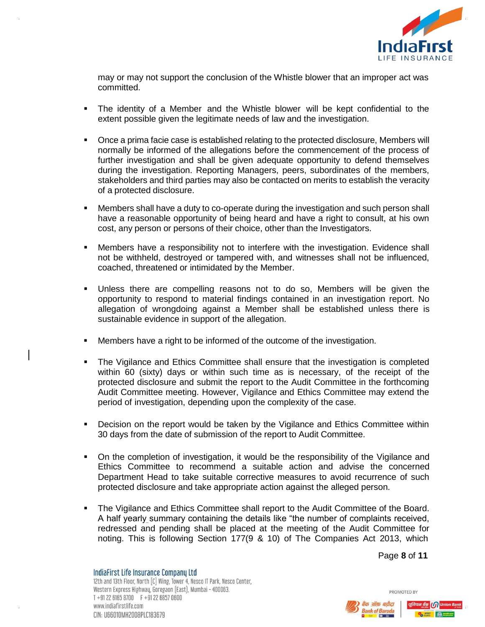

may or may not support the conclusion of the Whistle blower that an improper act was committed.

- The identity of a Member and the Whistle blower will be kept confidential to the extent possible given the legitimate needs of law and the investigation.
- Once a prima facie case is established relating to the protected disclosure, Members will normally be informed of the allegations before the commencement of the process of further investigation and shall be given adequate opportunity to defend themselves during the investigation. Reporting Managers, peers, subordinates of the members, stakeholders and third parties may also be contacted on merits to establish the veracity of a protected disclosure.
- Members shall have a duty to co-operate during the investigation and such person shall have a reasonable opportunity of being heard and have a right to consult, at his own cost, any person or persons of their choice, other than the Investigators.
- Members have a responsibility not to interfere with the investigation. Evidence shall not be withheld, destroyed or tampered with, and witnesses shall not be influenced, coached, threatened or intimidated by the Member.
- Unless there are compelling reasons not to do so, Members will be given the opportunity to respond to material findings contained in an investigation report. No allegation of wrongdoing against a Member shall be established unless there is sustainable evidence in support of the allegation.
- Members have a right to be informed of the outcome of the investigation.
- The Vigilance and Ethics Committee shall ensure that the investigation is completed within 60 (sixty) days or within such time as is necessary, of the receipt of the protected disclosure and submit the report to the Audit Committee in the forthcoming Audit Committee meeting. However, Vigilance and Ethics Committee may extend the period of investigation, depending upon the complexity of the case.
- Decision on the report would be taken by the Vigilance and Ethics Committee within 30 days from the date of submission of the report to Audit Committee.
- On the completion of investigation, it would be the responsibility of the Vigilance and Ethics Committee to recommend a suitable action and advise the concerned Department Head to take suitable corrective measures to avoid recurrence of such protected disclosure and take appropriate action against the alleged person.
- The Vigilance and Ethics Committee shall report to the Audit Committee of the Board. A half yearly summary containing the details like "the number of complaints received, redressed and pending shall be placed at the meeting of the Audit Committee for noting. This is following Section 177(9 & 10) of The Companies Act 2013, which

Page **8** of **11**

PROMOTED BY

IndiaFirst Life Insurance Company Ltd 12th and 13th Floor, North [C] Wing, Tower 4, Nesco IT Park, Nesco Center, Western Express Highway, Goregaon (East), Mumbai - 400063. T +91 22 6165 8700 F +91 22 6857 0600 www.indiafirstlife.com CIN: U66010MH2008PLC183679



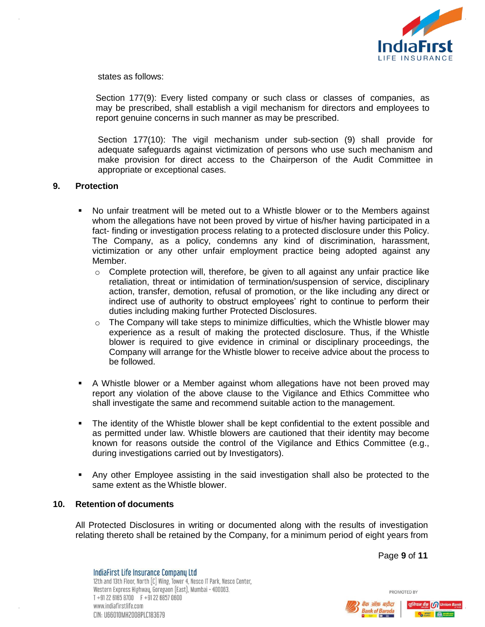

states as follows:

Section 177(9): Every listed company or such class or classes of companies, as may be prescribed, shall establish a vigil mechanism for directors and employees to report genuine concerns in such manner as may be prescribed.

Section 177(10): The vigil mechanism under sub-section (9) shall provide for adequate safeguards against victimization of persons who use such mechanism and make provision for direct access to the Chairperson of the Audit Committee in appropriate or exceptional cases.

#### <span id="page-7-0"></span>**9. Protection**

- No unfair treatment will be meted out to a Whistle blower or to the Members against whom the allegations have not been proved by virtue of his/her having participated in a fact- finding or investigation process relating to a protected disclosure under this Policy. The Company, as a policy, condemns any kind of discrimination, harassment, victimization or any other unfair employment practice being adopted against any Member.
	- o Complete protection will, therefore, be given to all against any unfair practice like retaliation, threat or intimidation of termination/suspension of service, disciplinary action, transfer, demotion, refusal of promotion, or the like including any direct or indirect use of authority to obstruct employees' right to continue to perform their duties including making further Protected Disclosures.
	- $\circ$  The Company will take steps to minimize difficulties, which the Whistle blower may experience as a result of making the protected disclosure. Thus, if the Whistle blower is required to give evidence in criminal or disciplinary proceedings, the Company will arrange for the Whistle blower to receive advice about the process to be followed.
- A Whistle blower or a Member against whom allegations have not been proved may report any violation of the above clause to the Vigilance and Ethics Committee who shall investigate the same and recommend suitable action to the management.
- The identity of the Whistle blower shall be kept confidential to the extent possible and as permitted under law. Whistle blowers are cautioned that their identity may become known for reasons outside the control of the Vigilance and Ethics Committee (e.g., during investigations carried out by Investigators).
- Any other Employee assisting in the said investigation shall also be protected to the same extent as the Whistle blower.

#### <span id="page-7-1"></span>**10. Retention of documents**

All Protected Disclosures in writing or documented along with the results of investigation relating thereto shall be retained by the Company, for a minimum period of eight years from

Page **9** of **11**

PROMOTED BY

IndiaFirst Life Insurance Company Ltd 12th and 13th Floor, North [C] Wing, Tower 4, Nesco IT Park, Nesco Center, Western Express Highway, Goregaon (East), Mumbai - 400063. T +91 22 6165 8700 F +91 22 6857 0600 www.indiafirstlife.com CIN: U66010MH2008PLC183679